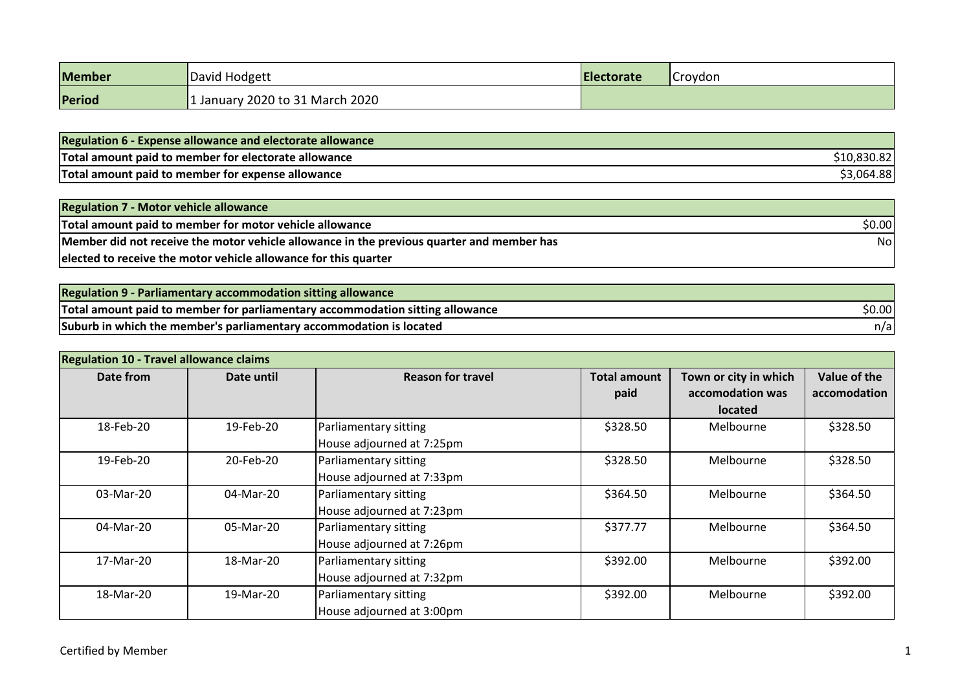| Member | David Hodgett                   | <b>Electorate</b> | <b>Croydon</b> |
|--------|---------------------------------|-------------------|----------------|
| Period | 1 January 2020 to 31 March 2020 |                   |                |

| <b>Regulation 6 - Expense allowance and electorate allowance</b> |             |
|------------------------------------------------------------------|-------------|
| Total amount paid to member for electorate allowance             | \$10,830.82 |
| Total amount paid to member for expense allowance                | \$3,064.88  |

| <b>Regulation 7 - Motor vehicle allowance</b>                                             |        |
|-------------------------------------------------------------------------------------------|--------|
| Total amount paid to member for motor vehicle allowance                                   | \$0.00 |
| Member did not receive the motor vehicle allowance in the previous quarter and member has | Nol    |
| elected to receive the motor vehicle allowance for this quarter                           |        |

| <b>Regulation 9 - Parliamentary accommodation sitting allowance</b>           |        |
|-------------------------------------------------------------------------------|--------|
| Total amount paid to member for parliamentary accommodation sitting allowance | \$0.00 |
| Suburb in which the member's parliamentary accommodation is located           | n/a    |

| <b>Regulation 10 - Travel allowance claims</b> |            |                                                    |                             |                                                             |                              |
|------------------------------------------------|------------|----------------------------------------------------|-----------------------------|-------------------------------------------------------------|------------------------------|
| Date from                                      | Date until | <b>Reason for travel</b>                           | <b>Total amount</b><br>paid | Town or city in which<br>accomodation was<br><b>located</b> | Value of the<br>accomodation |
| 18-Feb-20                                      | 19-Feb-20  | Parliamentary sitting<br>House adjourned at 7:25pm | \$328.50                    | Melbourne                                                   | \$328.50                     |
| 19-Feb-20                                      | 20-Feb-20  | Parliamentary sitting<br>House adjourned at 7:33pm | \$328.50                    | Melbourne                                                   | \$328.50                     |
| 03-Mar-20                                      | 04-Mar-20  | Parliamentary sitting<br>House adjourned at 7:23pm | \$364.50                    | Melbourne                                                   | \$364.50                     |
| 04-Mar-20                                      | 05-Mar-20  | Parliamentary sitting<br>House adjourned at 7:26pm | \$377.77                    | Melbourne                                                   | \$364.50                     |
| 17-Mar-20                                      | 18-Mar-20  | Parliamentary sitting<br>House adjourned at 7:32pm | \$392.00<br>Melbourne       |                                                             | \$392.00                     |
| 18-Mar-20                                      | 19-Mar-20  | Parliamentary sitting<br>House adjourned at 3:00pm | \$392.00                    | Melbourne                                                   | \$392.00                     |